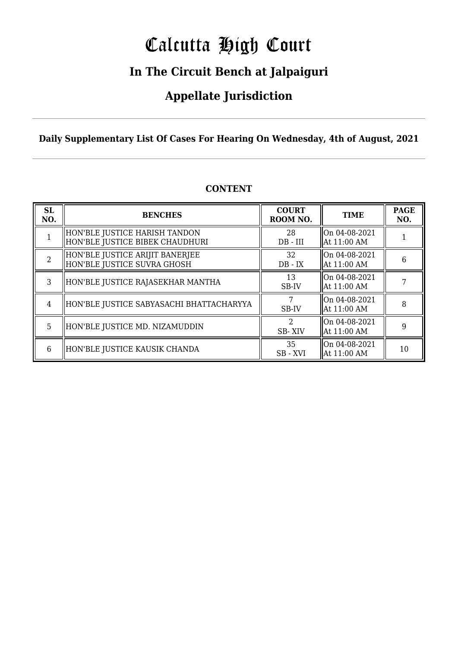# Calcutta High Court

### **In The Circuit Bench at Jalpaiguri**

### **Appellate Jurisdiction**

**Daily Supplementary List Of Cases For Hearing On Wednesday, 4th of August, 2021**

| <b>SL</b><br>NO. | <b>BENCHES</b>                                                   | <b>COURT</b><br>ROOM NO. | <b>TIME</b>                    | <b>PAGE</b><br>NO. |
|------------------|------------------------------------------------------------------|--------------------------|--------------------------------|--------------------|
|                  | HON'BLE JUSTICE HARISH TANDON<br>HON'BLE JUSTICE BIBEK CHAUDHURI | 28<br>$DB$ - $III$       | On 04-08-2021<br>  At 11:00 AM |                    |
| 2                | HON'BLE JUSTICE ARIJIT BANERJEE<br>HON'BLE JUSTICE SUVRA GHOSH   | 32<br>$DB - IX$          | On 04-08-2021<br>  At 11:00 AM | 6                  |
| 3                | HON'BLE JUSTICE RAJASEKHAR MANTHA                                | 13<br>SB-IV              | On 04-08-2021<br>  At 11:00 AM |                    |
| 4                | HON'BLE JUSTICE SABYASACHI BHATTACHARYYA                         | SB-IV                    | On 04-08-2021<br>  At 11:00 AM | 8                  |
| 5                | HON'BLE JUSTICE MD. NIZAMUDDIN                                   | 2<br>SB-XIV              | On 04-08-2021<br>  At 11:00 AM | 9                  |
| 6                | HON'BLE JUSTICE KAUSIK CHANDA                                    | 35<br>SB-XVI             | On 04-08-2021<br>  At 11:00 AM | 10                 |

### **CONTENT**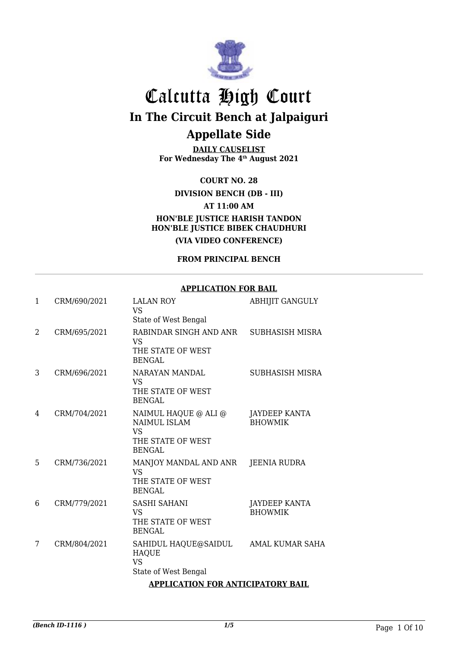

**DAILY CAUSELIST For Wednesday The 4th August 2021**

**COURT NO. 28**

**DIVISION BENCH (DB - III)**

**AT 11:00 AM**

**HON'BLE JUSTICE HARISH TANDON HON'BLE JUSTICE BIBEK CHAUDHURI**

**(VIA VIDEO CONFERENCE)**

### **FROM PRINCIPAL BENCH**

#### **APPLICATION FOR BAIL**

| $\mathbf{1}$ | CRM/690/2021                             | <b>LALAN ROY</b><br><b>VS</b><br>State of West Bengal                                          | <b>ABHIJIT GANGULY</b>                 |
|--------------|------------------------------------------|------------------------------------------------------------------------------------------------|----------------------------------------|
| 2            | CRM/695/2021                             | RABINDAR SINGH AND ANR<br><b>VS</b><br>THE STATE OF WEST<br><b>BENGAL</b>                      | SUBHASISH MISRA                        |
| 3            | CRM/696/2021                             | NARAYAN MANDAL<br><b>VS</b><br>THE STATE OF WEST<br><b>BENGAL</b>                              | <b>SUBHASISH MISRA</b>                 |
| 4            | CRM/704/2021                             | NAIMUL HAQUE @ ALI @<br><b>NAIMUL ISLAM</b><br><b>VS</b><br>THE STATE OF WEST<br><b>BENGAL</b> | <b>JAYDEEP KANTA</b><br><b>BHOWMIK</b> |
| 5            | CRM/736/2021                             | MANJOY MANDAL AND ANR<br><b>VS</b><br>THE STATE OF WEST<br><b>BENGAL</b>                       | JEENIA RUDRA                           |
| 6            | CRM/779/2021                             | <b>SASHI SAHANI</b><br>VS<br>THE STATE OF WEST<br><b>BENGAL</b>                                | <b>JAYDEEP KANTA</b><br><b>BHOWMIK</b> |
| 7            | CRM/804/2021                             | SAHIDUL HAQUE@SAIDUL<br><b>HAQUE</b><br><b>VS</b><br>State of West Bengal                      | AMAL KUMAR SAHA                        |
|              | <b>APPLICATION FOR ANTICIPATORY BAIL</b> |                                                                                                |                                        |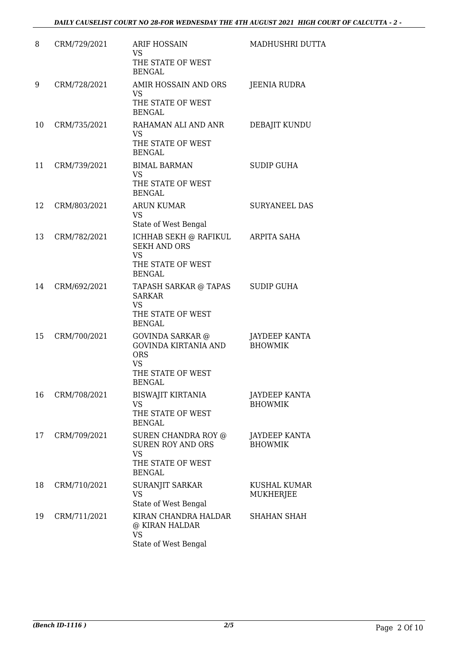| 8  | CRM/729/2021 | <b>ARIF HOSSAIN</b><br><b>VS</b><br>THE STATE OF WEST                                                     | MADHUSHRI DUTTA                        |
|----|--------------|-----------------------------------------------------------------------------------------------------------|----------------------------------------|
| 9  | CRM/728/2021 | <b>BENGAL</b><br>AMIR HOSSAIN AND ORS<br><b>VS</b><br>THE STATE OF WEST<br><b>BENGAL</b>                  | <b>JEENIA RUDRA</b>                    |
| 10 | CRM/735/2021 | RAHAMAN ALI AND ANR<br><b>VS</b><br>THE STATE OF WEST<br><b>BENGAL</b>                                    | DEBAJIT KUNDU                          |
| 11 | CRM/739/2021 | <b>BIMAL BARMAN</b><br><b>VS</b><br>THE STATE OF WEST<br><b>BENGAL</b>                                    | <b>SUDIP GUHA</b>                      |
| 12 | CRM/803/2021 | <b>ARUN KUMAR</b><br><b>VS</b><br>State of West Bengal                                                    | <b>SURYANEEL DAS</b>                   |
| 13 | CRM/782/2021 | ICHHAB SEKH @ RAFIKUL<br><b>SEKH AND ORS</b><br><b>VS</b><br>THE STATE OF WEST<br><b>BENGAL</b>           | ARPITA SAHA                            |
| 14 | CRM/692/2021 | TAPASH SARKAR @ TAPAS<br><b>SARKAR</b><br><b>VS</b><br>THE STATE OF WEST<br><b>BENGAL</b>                 | <b>SUDIP GUHA</b>                      |
| 15 | CRM/700/2021 | GOVINDA SARKAR @<br>GOVINDA KIRTANIA AND<br><b>ORS</b><br><b>VS</b><br>THE STATE OF WEST<br><b>BENGAL</b> | JAYDEEP KANTA<br><b>BHOWMIK</b>        |
| 16 | CRM/708/2021 | <b>BISWAJIT KIRTANIA</b><br><b>VS</b><br>THE STATE OF WEST<br><b>BENGAL</b>                               | JAYDEEP KANTA<br><b>BHOWMIK</b>        |
| 17 | CRM/709/2021 | SUREN CHANDRA ROY @<br><b>SUREN ROY AND ORS</b><br><b>VS</b><br>THE STATE OF WEST<br><b>BENGAL</b>        | <b>JAYDEEP KANTA</b><br><b>BHOWMIK</b> |
| 18 | CRM/710/2021 | SURANJIT SARKAR<br><b>VS</b><br>State of West Bengal                                                      | KUSHAL KUMAR<br>MUKHERJEE              |
| 19 | CRM/711/2021 | KIRAN CHANDRA HALDAR<br>@ KIRAN HALDAR<br><b>VS</b><br>State of West Bengal                               | <b>SHAHAN SHAH</b>                     |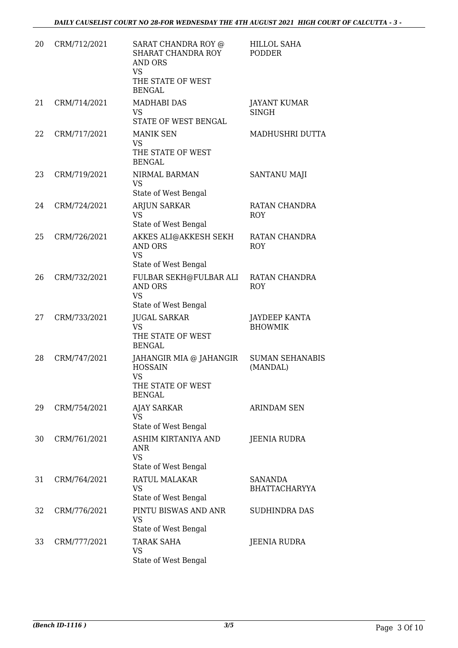| 20 | CRM/712/2021 | SARAT CHANDRA ROY @<br>SHARAT CHANDRA ROY<br><b>AND ORS</b><br><b>VS</b><br>THE STATE OF WEST<br><b>BENGAL</b> | <b>HILLOL SAHA</b><br><b>PODDER</b>    |
|----|--------------|----------------------------------------------------------------------------------------------------------------|----------------------------------------|
| 21 | CRM/714/2021 | <b>MADHABI DAS</b><br>VS<br>STATE OF WEST BENGAL                                                               | <b>JAYANT KUMAR</b><br><b>SINGH</b>    |
| 22 | CRM/717/2021 | <b>MANIK SEN</b><br><b>VS</b><br>THE STATE OF WEST<br><b>BENGAL</b>                                            | MADHUSHRI DUTTA                        |
| 23 | CRM/719/2021 | NIRMAL BARMAN<br>VS.<br>State of West Bengal                                                                   | <b>SANTANU MAJI</b>                    |
| 24 | CRM/724/2021 | <b>ARJUN SARKAR</b><br><b>VS</b><br>State of West Bengal                                                       | RATAN CHANDRA<br><b>ROY</b>            |
| 25 | CRM/726/2021 | AKKES ALI@AKKESH SEKH<br><b>AND ORS</b><br><b>VS</b><br>State of West Bengal                                   | RATAN CHANDRA<br>ROY                   |
| 26 | CRM/732/2021 | FULBAR SEKH@FULBAR ALI<br><b>AND ORS</b><br><b>VS</b><br>State of West Bengal                                  | RATAN CHANDRA<br>ROY                   |
| 27 | CRM/733/2021 | <b>JUGAL SARKAR</b><br><b>VS</b><br>THE STATE OF WEST<br><b>BENGAL</b>                                         | <b>JAYDEEP KANTA</b><br><b>BHOWMIK</b> |
| 28 | CRM/747/2021 | JAHANGIR MIA @ JAHANGIR<br><b>HOSSAIN</b><br><b>VS</b><br>THE STATE OF WEST<br><b>BENGAL</b>                   | <b>SUMAN SEHANABIS</b><br>(MANDAL)     |
| 29 | CRM/754/2021 | <b>AJAY SARKAR</b><br><b>VS</b><br>State of West Bengal                                                        | <b>ARINDAM SEN</b>                     |
| 30 | CRM/761/2021 | ASHIM KIRTANIYA AND<br>ANR<br><b>VS</b><br>State of West Bengal                                                | JEENIA RUDRA                           |
| 31 | CRM/764/2021 | RATUL MALAKAR<br><b>VS</b><br>State of West Bengal                                                             | <b>SANANDA</b><br><b>BHATTACHARYYA</b> |
| 32 | CRM/776/2021 | PINTU BISWAS AND ANR<br><b>VS</b><br>State of West Bengal                                                      | SUDHINDRA DAS                          |
| 33 | CRM/777/2021 | <b>TARAK SAHA</b><br>VS<br>State of West Bengal                                                                | JEENIA RUDRA                           |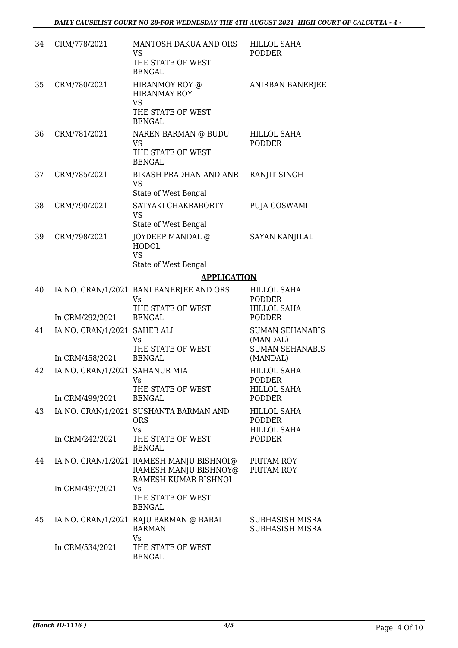| 34 | CRM/778/2021                                                         | MANTOSH DAKUA AND ORS<br><b>VS</b><br>THE STATE OF WEST<br><b>BENGAL</b>                         | HILLOL SAHA<br><b>PODDER</b>                                                    |
|----|----------------------------------------------------------------------|--------------------------------------------------------------------------------------------------|---------------------------------------------------------------------------------|
| 35 | CRM/780/2021                                                         | HIRANMOY ROY @<br><b>HIRANMAY ROY</b><br><b>VS</b><br>THE STATE OF WEST<br><b>BENGAL</b>         | ANIRBAN BANERJEE                                                                |
| 36 | CRM/781/2021                                                         | NAREN BARMAN @ BUDU<br><b>VS</b><br>THE STATE OF WEST<br><b>BENGAL</b>                           | <b>HILLOL SAHA</b><br><b>PODDER</b>                                             |
| 37 | CRM/785/2021                                                         | BIKASH PRADHAN AND ANR<br><b>VS</b><br>State of West Bengal                                      | RANJIT SINGH                                                                    |
| 38 | CRM/790/2021                                                         | SATYAKI CHAKRABORTY<br><b>VS</b><br>State of West Bengal                                         | PUJA GOSWAMI                                                                    |
| 39 | CRM/798/2021                                                         | JOYDEEP MANDAL @<br><b>HODOL</b><br><b>VS</b><br>State of West Bengal                            | <b>SAYAN KANJILAL</b>                                                           |
|    |                                                                      | <b>APPLICATION</b>                                                                               |                                                                                 |
| 40 |                                                                      | IA NO. CRAN/1/2021 BANI BANERJEE AND ORS<br><b>Vs</b><br>THE STATE OF WEST                       | HILLOL SAHA<br>PODDER<br><b>HILLOL SAHA</b>                                     |
| 41 | In CRM/292/2021<br>IA NO. CRAN/1/2021 SAHEB ALI                      | <b>BENGAL</b><br><b>Vs</b><br>THE STATE OF WEST                                                  | <b>PODDER</b><br><b>SUMAN SEHANABIS</b><br>(MANDAL)<br><b>SUMAN SEHANABIS</b>   |
| 42 | In CRM/458/2021<br>IA NO. CRAN/1/2021 SAHANUR MIA<br>In CRM/499/2021 | <b>BENGAL</b><br>V <sub>S</sub><br>THE STATE OF WEST<br>BENGAL                                   | (MANDAL)<br><b>HILLOL SAHA</b><br>PODDER<br><b>HILLOL SAHA</b><br><b>PODDER</b> |
| 43 | In CRM/242/2021                                                      | IA NO. CRAN/1/2021 SUSHANTA BARMAN AND<br><b>ORS</b><br>Vs<br>THE STATE OF WEST<br><b>BENGAL</b> | <b>HILLOL SAHA</b><br>PODDER<br><b>HILLOL SAHA</b><br><b>PODDER</b>             |
| 44 |                                                                      | IA NO. CRAN/1/2021 RAMESH MANJU BISHNOI@<br>RAMESH MANJU BISHNOY@<br>RAMESH KUMAR BISHNOI        | PRITAM ROY<br>PRITAM ROY                                                        |
|    | In CRM/497/2021                                                      | Vs<br>THE STATE OF WEST<br><b>BENGAL</b>                                                         |                                                                                 |
| 45 |                                                                      | IA NO. CRAN/1/2021 RAJU BARMAN @ BABAI<br><b>BARMAN</b><br>Vs                                    | SUBHASISH MISRA<br>SUBHASISH MISRA                                              |
|    | In CRM/534/2021                                                      | THE STATE OF WEST<br><b>BENGAL</b>                                                               |                                                                                 |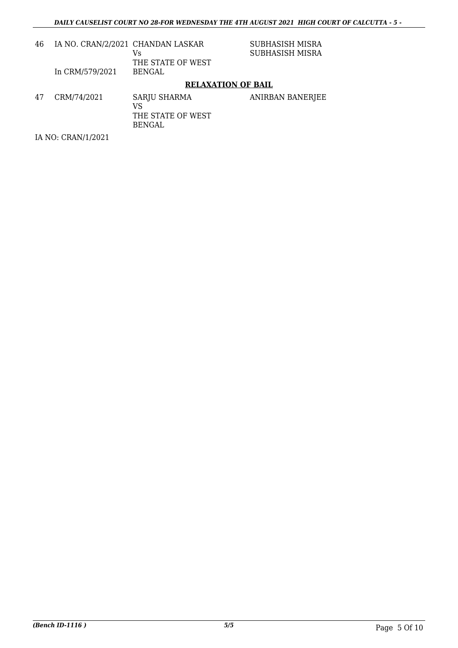| 46 | IA NO. CRAN/2/2021 CHANDAN LASKAR<br>In CRM/579/2021 | Vs<br>THE STATE OF WEST<br>BENGAL                        | SUBHASISH MISRA<br>SUBHASISH MISRA |
|----|------------------------------------------------------|----------------------------------------------------------|------------------------------------|
|    |                                                      | <b>RELAXATION OF BAIL</b>                                |                                    |
| 47 | CRM/74/2021                                          | SARJU SHARMA<br>VS<br>THE STATE OF WEST<br><b>BENGAL</b> | ANIRBAN BANERJEE                   |
|    | IA NO: CRAN/1/2021                                   |                                                          |                                    |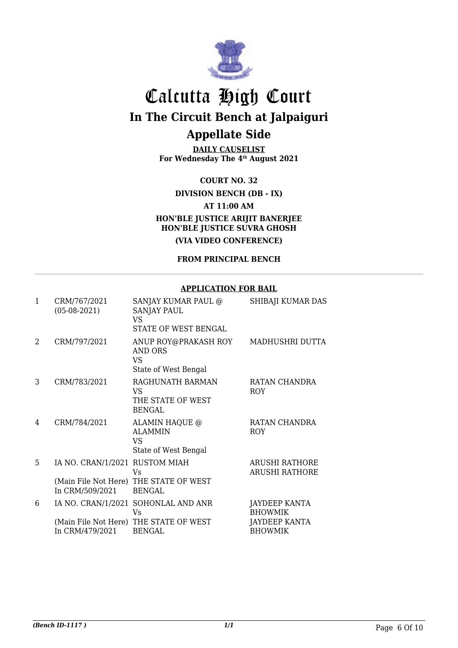

**DAILY CAUSELIST For Wednesday The 4th August 2021**

**COURT NO. 32**

**DIVISION BENCH (DB - IX)**

**AT 11:00 AM**

**HON'BLE JUSTICE ARIJIT BANERJEE HON'BLE JUSTICE SUVRA GHOSH**

**(VIA VIDEO CONFERENCE)**

**FROM PRINCIPAL BENCH**

#### **APPLICATION FOR BAIL**

| 1                           | CRM/767/2021<br>$(05-08-2021)$                    | <b>SANJAY KUMAR PAUL @</b><br>SANJAY PAUL<br>VS.<br>STATE OF WEST BENGAL                             | SHIBAJI KUMAR DAS                                                  |
|-----------------------------|---------------------------------------------------|------------------------------------------------------------------------------------------------------|--------------------------------------------------------------------|
| $\mathcal{D}_{\mathcal{L}}$ | CRM/797/2021                                      | ANUP ROY@PRAKASH ROY<br><b>AND ORS</b><br><b>VS</b><br>State of West Bengal                          | MADHUSHRI DUTTA                                                    |
| 3                           | CRM/783/2021                                      | RAGHUNATH BARMAN<br>VS<br>THE STATE OF WEST<br><b>BENGAL</b>                                         | RATAN CHANDRA<br><b>ROY</b>                                        |
| 4                           | CRM/784/2021                                      | ALAMIN HAQUE @<br><b>ALAMMIN</b><br>VS<br>State of West Bengal                                       | RATAN CHANDRA<br>ROY                                               |
| 5                           | IA NO. CRAN/1/2021 RUSTOM MIAH<br>In CRM/509/2021 | Vs<br>(Main File Not Here) THE STATE OF WEST<br><b>BENGAL</b>                                        | <b>ARUSHI RATHORE</b><br><b>ARUSHI RATHORE</b>                     |
| 6                           | In CRM/479/2021                                   | IA NO. CRAN/1/2021 SOHONLAL AND ANR<br>Vs<br>(Main File Not Here) THE STATE OF WEST<br><b>BENGAL</b> | JAYDEEP KANTA<br><b>BHOWMIK</b><br>JAYDEEP KANTA<br><b>BHOWMIK</b> |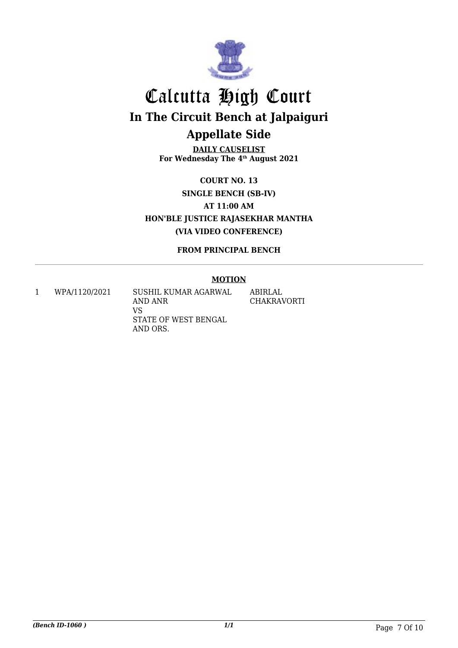

**DAILY CAUSELIST For Wednesday The 4th August 2021**

**COURT NO. 13 SINGLE BENCH (SB-IV) AT 11:00 AM HON'BLE JUSTICE RAJASEKHAR MANTHA (VIA VIDEO CONFERENCE)**

**FROM PRINCIPAL BENCH**

#### **MOTION**

1 WPA/1120/2021 SUSHIL KUMAR AGARWAL AND ANR VS STATE OF WEST BENGAL AND ORS. ABIRLAL CHAKRAVORTI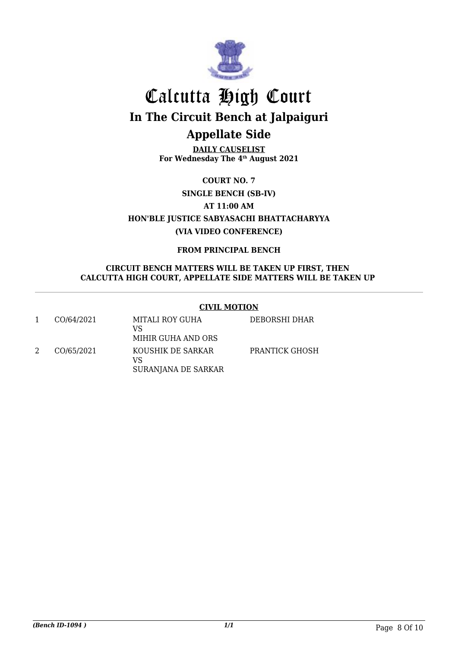

**DAILY CAUSELIST For Wednesday The 4th August 2021**

> **COURT NO. 7 SINGLE BENCH (SB-IV)**

> > **AT 11:00 AM**

**HON'BLE JUSTICE SABYASACHI BHATTACHARYYA (VIA VIDEO CONFERENCE)**

**FROM PRINCIPAL BENCH**

#### **CIRCUIT BENCH MATTERS WILL BE TAKEN UP FIRST, THEN CALCUTTA HIGH COURT, APPELLATE SIDE MATTERS WILL BE TAKEN UP**

### **CIVIL MOTION**

| CO/64/2021 | MITALI ROY GUHA<br>VS<br>MIHIR GUHA AND ORS    | DEBORSHI DHAR         |
|------------|------------------------------------------------|-----------------------|
| CO/65/2021 | KOUSHIK DE SARKAR<br>VS<br>SURANJANA DE SARKAR | <b>PRANTICK GHOSH</b> |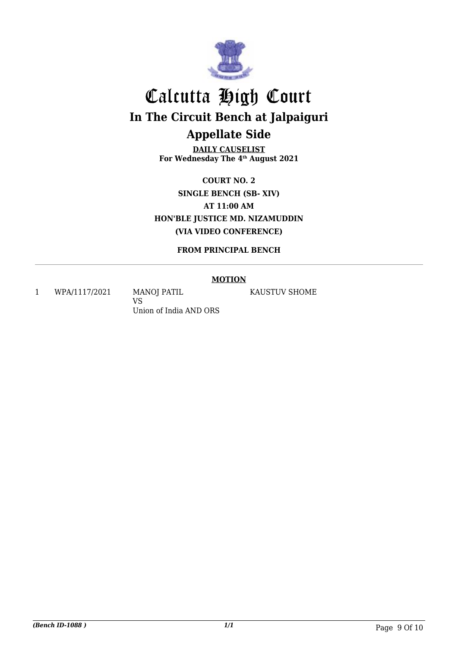

**DAILY CAUSELIST For Wednesday The 4th August 2021**

**COURT NO. 2 SINGLE BENCH (SB- XIV) AT 11:00 AM HON'BLE JUSTICE MD. NIZAMUDDIN (VIA VIDEO CONFERENCE)**

**FROM PRINCIPAL BENCH**

#### **MOTION**

1 WPA/1117/2021 MANOJ PATIL

VS Union of India AND ORS KAUSTUV SHOME